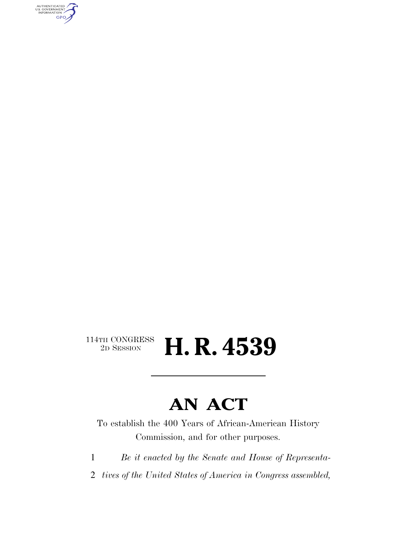AUTHENTICATED<br>U.S. GOVERNMENT<br>INFORMATION **GPO** 

### $\begin{array}{c} \textbf{114TH CONGRESS} \\ \textbf{2D} \textbf{Session} \end{array}$ 2D SESSION **H. R. 4539**

## **AN ACT**

To establish the 400 Years of African-American History Commission, and for other purposes.

1 *Be it enacted by the Senate and House of Representa-*

2 *tives of the United States of America in Congress assembled,*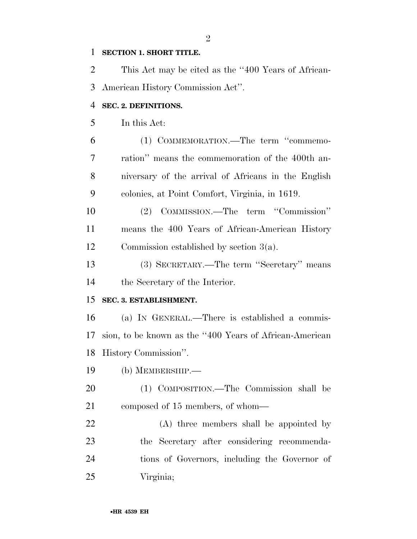#### **SECTION 1. SHORT TITLE.**

 This Act may be cited as the ''400 Years of African-American History Commission Act''.

#### **SEC. 2. DEFINITIONS.**

In this Act:

 (1) COMMEMORATION.—The term ''commemo- ration'' means the commemoration of the 400th an- niversary of the arrival of Africans in the English colonies, at Point Comfort, Virginia, in 1619.

 (2) COMMISSION.—The term ''Commission'' means the 400 Years of African-American History Commission established by section 3(a).

 (3) SECRETARY.—The term ''Secretary'' means the Secretary of the Interior.

#### **SEC. 3. ESTABLISHMENT.**

 (a) IN GENERAL.—There is established a commis- sion, to be known as the ''400 Years of African-American History Commission''.

(b) MEMBERSHIP.—

 (1) COMPOSITION.—The Commission shall be composed of 15 members, of whom—

 (A) three members shall be appointed by the Secretary after considering recommenda- tions of Governors, including the Governor of Virginia;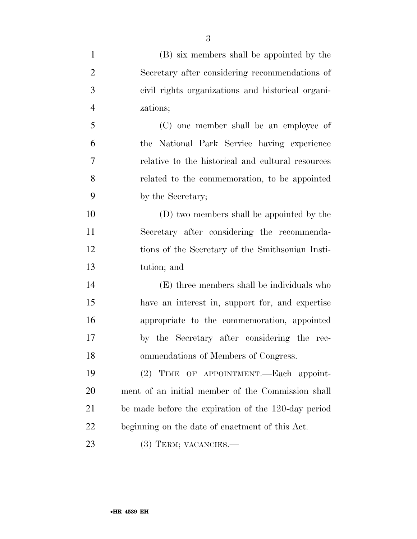| $\mathbf{1}$   | (B) six members shall be appointed by the           |
|----------------|-----------------------------------------------------|
| $\overline{2}$ | Secretary after considering recommendations of      |
| 3              | civil rights organizations and historical organi-   |
| $\overline{4}$ | zations;                                            |
| 5              | (C) one member shall be an employee of              |
| 6              | the National Park Service having experience         |
| 7              | relative to the historical and cultural resources   |
| 8              | related to the commemoration, to be appointed       |
| 9              | by the Secretary;                                   |
| 10             | (D) two members shall be appointed by the           |
| 11             | Secretary after considering the recommenda-         |
| 12             | tions of the Secretary of the Smithsonian Insti-    |
| 13             | tution; and                                         |
| 14             | (E) three members shall be individuals who          |
| 15             | have an interest in, support for, and expertise     |
| 16             | appropriate to the commemoration, appointed         |
| 17             | by the Secretary after considering the rec-         |
| 18             | ommendations of Members of Congress.                |
| 19             | (2) TIME OF APPOINTMENT.—Each appoint-              |
| 20             | ment of an initial member of the Commission shall   |
| 21             | be made before the expiration of the 120-day period |
| 22             | beginning on the date of enactment of this Act.     |
| 23             | $(3)$ TERM; VACANCIES.—                             |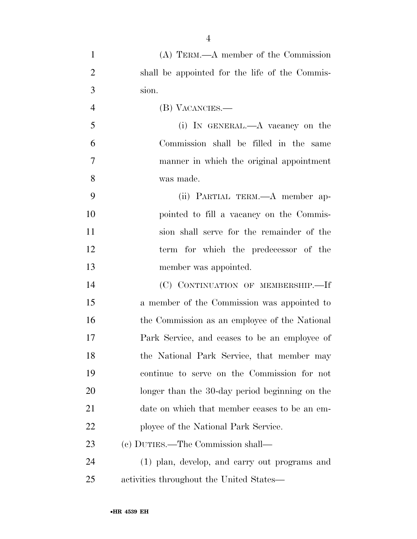| $\mathbf{1}$   | $(A)$ TERM.— $A$ member of the Commission      |
|----------------|------------------------------------------------|
| $\overline{2}$ | shall be appointed for the life of the Commis- |
| 3              | sion.                                          |
| $\overline{4}$ | (B) VACANCIES.—                                |
| 5              | (i) IN GENERAL.—A vacancy on the               |
| 6              | Commission shall be filled in the same         |
| $\overline{7}$ | manner in which the original appointment       |
| 8              | was made.                                      |
| 9              | (ii) PARTIAL TERM.—A member ap-                |
| 10             | pointed to fill a vacancy on the Commis-       |
| 11             | sion shall serve for the remainder of the      |
| 12             | term for which the predecessor of the          |
| 13             | member was appointed.                          |
| 14             | (C) CONTINUATION OF MEMBERSHIP.-If             |
| 15             | a member of the Commission was appointed to    |
| 16             | the Commission as an employee of the National  |
| 17             | Park Service, and ceases to be an employee of  |
| 18             | the National Park Service, that member may     |
| 19             | continue to serve on the Commission for not    |
| 20             | longer than the 30-day period beginning on the |
| 21             | date on which that member ceases to be an em-  |
| 22             | ployee of the National Park Service.           |
| 23             | (c) DUTIES.—The Commission shall—              |
| 24             | (1) plan, develop, and carry out programs and  |
| 25             | activities throughout the United States—       |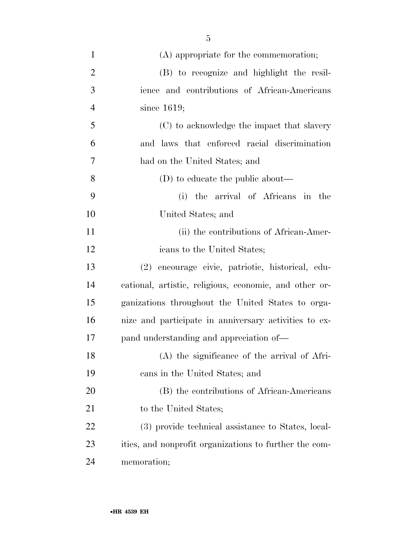| $\mathbf{1}$   | (A) appropriate for the commemoration;                 |
|----------------|--------------------------------------------------------|
| $\overline{2}$ | (B) to recognize and highlight the resil-              |
| 3              | ience and contributions of African-Americans           |
| $\overline{4}$ | since $1619$ ;                                         |
| 5              | (C) to acknowledge the impact that slavery             |
| 6              | and laws that enforced racial discrimination           |
| 7              | had on the United States; and                          |
| 8              | $(D)$ to educate the public about—                     |
| 9              | the arrival of Africans in the<br>(i)                  |
| 10             | United States; and                                     |
| 11             | (ii) the contributions of African-Amer-                |
| 12             | icans to the United States;                            |
| 13             | (2) encourage civic, patriotic, historical, edu-       |
| 14             | cational, artistic, religious, economic, and other or- |
| 15             | ganizations throughout the United States to orga-      |
| 16             | nize and participate in anniversary activities to ex-  |
| 17             | pand understanding and appreciation of—                |
| 18             | (A) the significance of the arrival of Afri-           |
| 19             | cans in the United States; and                         |
| 20             | (B) the contributions of African-Americans             |
| 21             | to the United States;                                  |
| 22             | (3) provide technical assistance to States, local-     |
| 23             | ities, and nonprofit organizations to further the com- |
| 24             | memoration;                                            |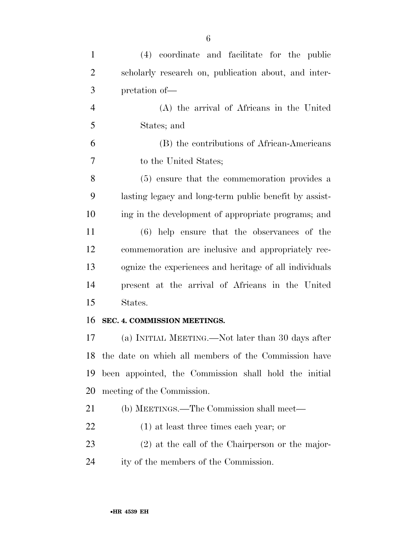| $\mathbf{1}$   | (4) coordinate and facilitate for the public            |
|----------------|---------------------------------------------------------|
| $\overline{2}$ | scholarly research on, publication about, and inter-    |
| 3              | pretation of-                                           |
| $\overline{4}$ | (A) the arrival of Africans in the United               |
| 5              | States; and                                             |
| 6              | (B) the contributions of African-Americans              |
| 7              | to the United States;                                   |
| 8              | (5) ensure that the commemoration provides a            |
| 9              | lasting legacy and long-term public benefit by assist-  |
| 10             | ing in the development of appropriate programs; and     |
| 11             | $(6)$ help ensure that the observances of the           |
| 12             | commemoration are inclusive and appropriately rec-      |
| 13             | ognize the experiences and heritage of all individuals  |
| 14             | present at the arrival of Africans in the United        |
| 15             | States.                                                 |
| 16             | SEC. 4. COMMISSION MEETINGS.                            |
| 17             | (a) INITIAL MEETING.—Not later than 30 days after       |
|                | 18 the date on which all members of the Commission have |
| 19             | been appointed, the Commission shall hold the initial   |
| 20             | meeting of the Commission.                              |
| 21             | (b) MEETINGS.—The Commission shall meet—                |
| 22             | $(1)$ at least three times each year; or                |
| 23             | $(2)$ at the call of the Chairperson or the major-      |
| 24             | ity of the members of the Commission.                   |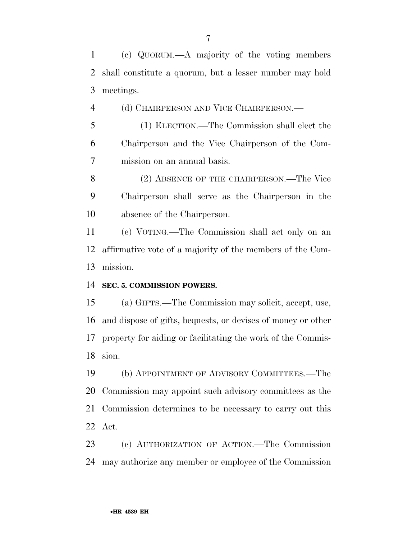(c) QUORUM.—A majority of the voting members shall constitute a quorum, but a lesser number may hold meetings.

(d) CHAIRPERSON AND VICE CHAIRPERSON.—

 (1) ELECTION.—The Commission shall elect the Chairperson and the Vice Chairperson of the Com-mission on an annual basis.

8 (2) ABSENCE OF THE CHAIRPERSON.—The Vice Chairperson shall serve as the Chairperson in the absence of the Chairperson.

 (e) VOTING.—The Commission shall act only on an affirmative vote of a majority of the members of the Com-mission.

#### **SEC. 5. COMMISSION POWERS.**

 (a) GIFTS.—The Commission may solicit, accept, use, and dispose of gifts, bequests, or devises of money or other property for aiding or facilitating the work of the Commis-sion.

 (b) APPOINTMENT OF ADVISORY COMMITTEES.—The Commission may appoint such advisory committees as the Commission determines to be necessary to carry out this Act.

 (c) AUTHORIZATION OF ACTION.—The Commission may authorize any member or employee of the Commission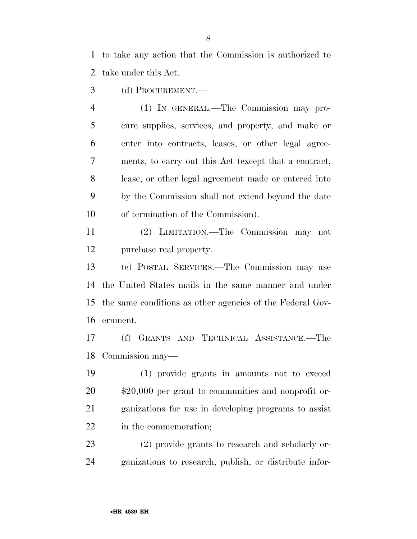to take any action that the Commission is authorized to take under this Act.

(d) PROCUREMENT.—

 (1) IN GENERAL.—The Commission may pro- cure supplies, services, and property, and make or enter into contracts, leases, or other legal agree- ments, to carry out this Act (except that a contract, lease, or other legal agreement made or entered into by the Commission shall not extend beyond the date of termination of the Commission).

 (2) LIMITATION.—The Commission may not purchase real property.

 (e) POSTAL SERVICES.—The Commission may use the United States mails in the same manner and under the same conditions as other agencies of the Federal Gov-ernment.

 (f) GRANTS AND TECHNICAL ASSISTANCE.—The Commission may—

 (1) provide grants in amounts not to exceed \$20,000 per grant to communities and nonprofit or- ganizations for use in developing programs to assist in the commemoration;

 (2) provide grants to research and scholarly or-ganizations to research, publish, or distribute infor-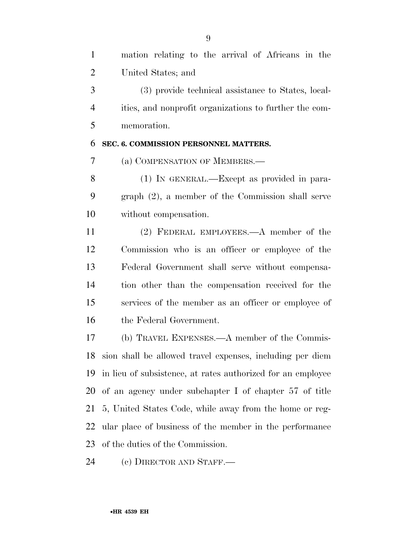|   | mation relating to the arrival of Africans in the      |
|---|--------------------------------------------------------|
| 2 | United States; and                                     |
| 3 | (3) provide technical assistance to States, local-     |
|   | ities, and nonprofit organizations to further the com- |
| 5 | memoration.                                            |
|   |                                                        |

#### **SEC. 6. COMMISSION PERSONNEL MATTERS.**

(a) COMPENSATION OF MEMBERS.—

 (1) IN GENERAL.—Except as provided in para- graph (2), a member of the Commission shall serve without compensation.

 (2) FEDERAL EMPLOYEES.—A member of the Commission who is an officer or employee of the Federal Government shall serve without compensa- tion other than the compensation received for the services of the member as an officer or employee of the Federal Government.

 (b) TRAVEL EXPENSES.—A member of the Commis- sion shall be allowed travel expenses, including per diem in lieu of subsistence, at rates authorized for an employee of an agency under subchapter I of chapter 57 of title 5, United States Code, while away from the home or reg- ular place of business of the member in the performance of the duties of the Commission.

(c) DIRECTOR AND STAFF.—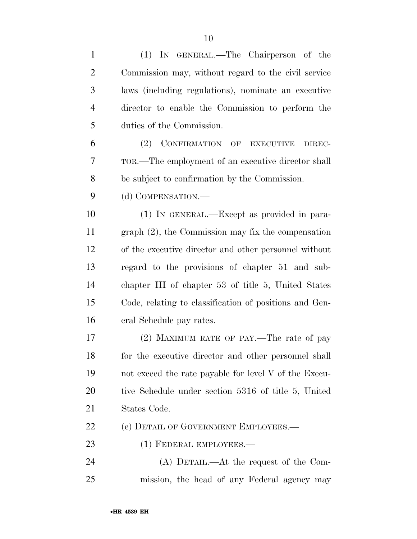| $\mathbf{1}$   | (1) IN GENERAL.—The Chairperson of the                 |
|----------------|--------------------------------------------------------|
| $\overline{2}$ | Commission may, without regard to the civil service    |
| 3              | laws (including regulations), nominate an executive    |
| $\overline{4}$ | director to enable the Commission to perform the       |
| 5              | duties of the Commission.                              |
| 6              | (2) CONFIRMATION OF EXECUTIVE<br>DIREC-                |
| 7              | TOR.—The employment of an executive director shall     |
| 8              | be subject to confirmation by the Commission.          |
| 9              | (d) COMPENSATION.—                                     |
| 10             | (1) IN GENERAL.—Except as provided in para-            |
| 11             | $graph (2)$ , the Commission may fix the compensation  |
| 12             | of the executive director and other personnel without  |
| 13             | regard to the provisions of chapter 51 and sub-        |
| 14             | chapter III of chapter 53 of title 5, United States    |
| 15             | Code, relating to classification of positions and Gen- |
| 16             | eral Schedule pay rates.                               |
| 17             | (2) MAXIMUM RATE OF PAY.—The rate of pay               |
| 18             | for the executive director and other personnel shall   |
| 19             | not exceed the rate payable for level V of the Execu-  |
| 20             | tive Schedule under section 5316 of title 5, United    |
| 21             | States Code.                                           |
| 22             | (e) DETAIL OF GOVERNMENT EMPLOYEES.—                   |
| 23             | (1) FEDERAL EMPLOYEES.—                                |
| 24             | $(A)$ DETAIL.—At the request of the Com-               |
| 25             | mission, the head of any Federal agency may            |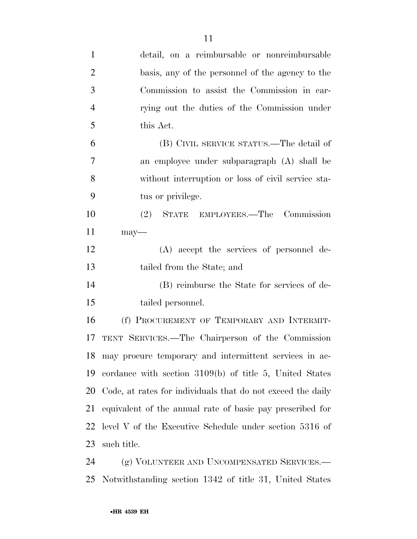| $\mathbf{1}$   | detail, on a reimbursable or nonreimbursable                |
|----------------|-------------------------------------------------------------|
| $\overline{2}$ | basis, any of the personnel of the agency to the            |
| 3              | Commission to assist the Commission in car-                 |
| $\overline{4}$ | rying out the duties of the Commission under                |
| 5              | this Act.                                                   |
| 6              | (B) CIVIL SERVICE STATUS.—The detail of                     |
| 7              | an employee under subparagraph (A) shall be                 |
| 8              | without interruption or loss of civil service sta-          |
| 9              | tus or privilege.                                           |
| 10             | (2) STATE EMPLOYEES.—The Commission                         |
| 11             | $may-$                                                      |
| 12             | (A) accept the services of personnel de-                    |
| 13             | tailed from the State; and                                  |
| 14             | (B) reimburse the State for services of de-                 |
| 15             | tailed personnel.                                           |
| 16             | (f) PROCUREMENT OF TEMPORARY AND INTERMIT-                  |
| 17             | TENT SERVICES.—The Chairperson of the Commission            |
| 18             | may procure temporary and intermittent services in ac-      |
| 19             | cordance with section $3109(b)$ of title 5, United States   |
| 20             | Code, at rates for individuals that do not exceed the daily |
| 21             | equivalent of the annual rate of basic pay prescribed for   |
| 22             | level $V$ of the Executive Schedule under section $5316$ of |
| 23             | such title.                                                 |
| 24             | (g) VOLUNTEER AND UNCOMPENSATED SERVICES.—                  |
| 25             | Notwithstanding section 1342 of title 31, United States     |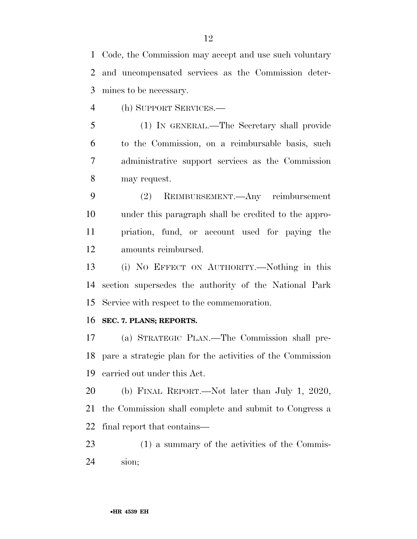Code, the Commission may accept and use such voluntary and uncompensated services as the Commission deter-mines to be necessary.

(h) SUPPORT SERVICES.—

 (1) IN GENERAL.—The Secretary shall provide to the Commission, on a reimbursable basis, such administrative support services as the Commission may request.

 (2) REIMBURSEMENT.—Any reimbursement under this paragraph shall be credited to the appro- priation, fund, or account used for paying the amounts reimbursed.

 (i) NO EFFECT ON AUTHORITY.—Nothing in this section supersedes the authority of the National Park Service with respect to the commemoration.

#### **SEC. 7. PLANS; REPORTS.**

 (a) STRATEGIC PLAN.—The Commission shall pre- pare a strategic plan for the activities of the Commission carried out under this Act.

 (b) FINAL REPORT.—Not later than July 1, 2020, the Commission shall complete and submit to Congress a final report that contains—

 (1) a summary of the activities of the Commis-sion;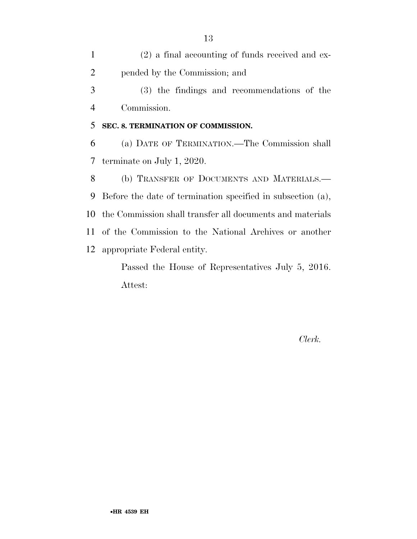| 1              | $(2)$ a final accounting of funds received and ex-          |
|----------------|-------------------------------------------------------------|
| $\overline{2}$ | pended by the Commission; and                               |
| 3              | (3) the findings and recommendations of the                 |
| $\overline{4}$ | Commission.                                                 |
| 5              | SEC. 8. TERMINATION OF COMMISSION.                          |
| 6              | (a) DATE OF TERMINATION.—The Commission shall               |
| 7              | terminate on July 1, 2020.                                  |
| 8              | (b) TRANSFER OF DOCUMENTS AND MATERIALS.-                   |
| 9              | Before the date of termination specified in subsection (a), |
| 10             | the Commission shall transfer all documents and materials   |
|                | 11 of the Commission to the National Archives or another    |
|                | 12 appropriate Federal entity.                              |
|                | Passed the House of Representatives July 5 2016             |

 $e$  House of Representatives July 5, 2016. Attest:

*Clerk.*